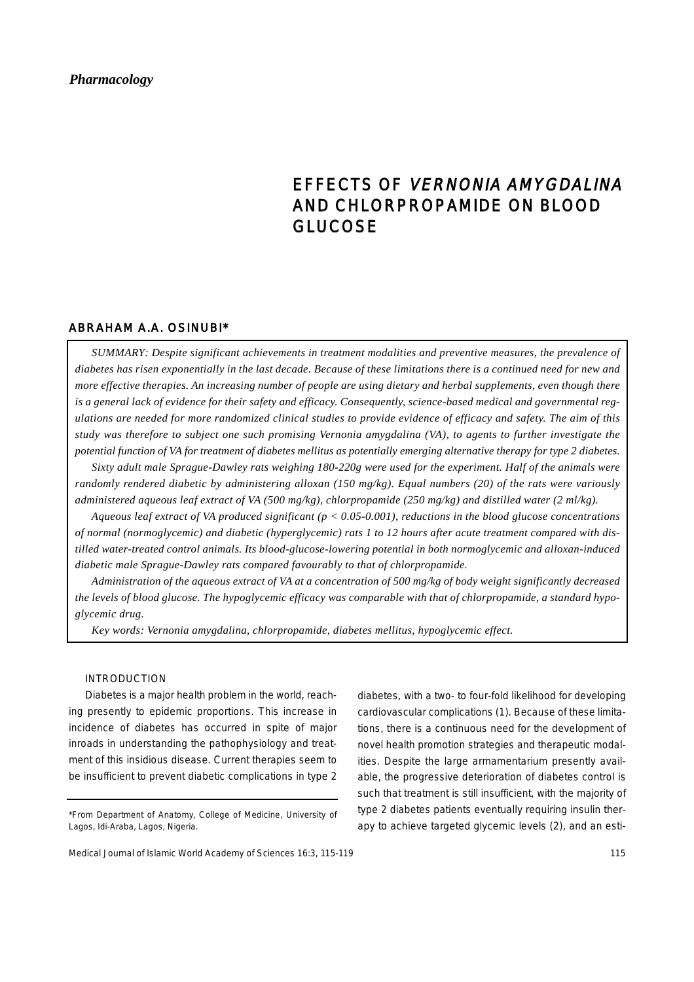# *Pharmacology*

# EFFECTS OF VERNONIA AMYGDALINA AND CHLORPROPAMIDE ON BLOOD GLUCOSE

# ABRAHAM A.A. OSINUBI\*

*SUMMARY: Despite significant achievements in treatment modalities and preventive measures, the prevalence of diabetes has risen exponentially in the last decade. Because of these limitations there is a continued need for new and more effective therapies. An increasing number of people are using dietary and herbal supplements, even though there is a general lack of evidence for their safety and efficacy. Consequently, science-based medical and governmental regulations are needed for more randomized clinical studies to provide evidence of efficacy and safety. The aim of this study was therefore to subject one such promising Vernonia amygdalina (VA), to agents to further investigate the potential function of VA for treatment of diabetes mellitus as potentially emerging alternative therapy for type 2 diabetes.*

*Sixty adult male Sprague-Dawley rats weighing 180-220g were used for the experiment. Half of the animals were randomly rendered diabetic by administering alloxan (150 mg/kg). Equal numbers (20) of the rats were variously administered aqueous leaf extract of VA (500 mg/kg), chlorpropamide (250 mg/kg) and distilled water (2 ml/kg).* 

*Aqueous leaf extract of VA produced significant (p < 0.05-0.001), reductions in the blood glucose concentrations of normal (normoglycemic) and diabetic (hyperglycemic) rats 1 to 12 hours after acute treatment compared with distilled water-treated control animals. Its blood-glucose-lowering potential in both normoglycemic and alloxan-induced diabetic male Sprague-Dawley rats compared favourably to that of chlorpropamide.*

*Administration of the aqueous extract of VA at a concentration of 500 mg/kg of body weight significantly decreased the levels of blood glucose. The hypoglycemic efficacy was comparable with that of chlorpropamide, a standard hypoglycemic drug.*

*Key words: Vernonia amygdalina, chlorpropamide, diabetes mellitus, hypoglycemic effect.*

## INTRODUCTION

Diabetes is a major health problem in the world, reaching presently to epidemic proportions. This increase in incidence of diabetes has occurred in spite of major inroads in understanding the pathophysiology and treatment of this insidious disease. Current therapies seem to be insufficient to prevent diabetic complications in type 2 diabetes, with a two- to four-fold likelihood for developing cardiovascular complications (1). Because of these limitations, there is a continuous need for the development of novel health promotion strategies and therapeutic modalities. Despite the large armamentarium presently available, the progressive deterioration of diabetes control is such that treatment is still insufficient, with the majority of type 2 diabetes patients eventually requiring insulin therapy to achieve targeted glycemic levels (2), and an esti-

<sup>\*</sup>From Department of Anatomy, College of Medicine, University of Lagos, Idi-Araba, Lagos, Nigeria.

Medical Journal of Islamic World Academy of Sciences 16:3, 115-119 115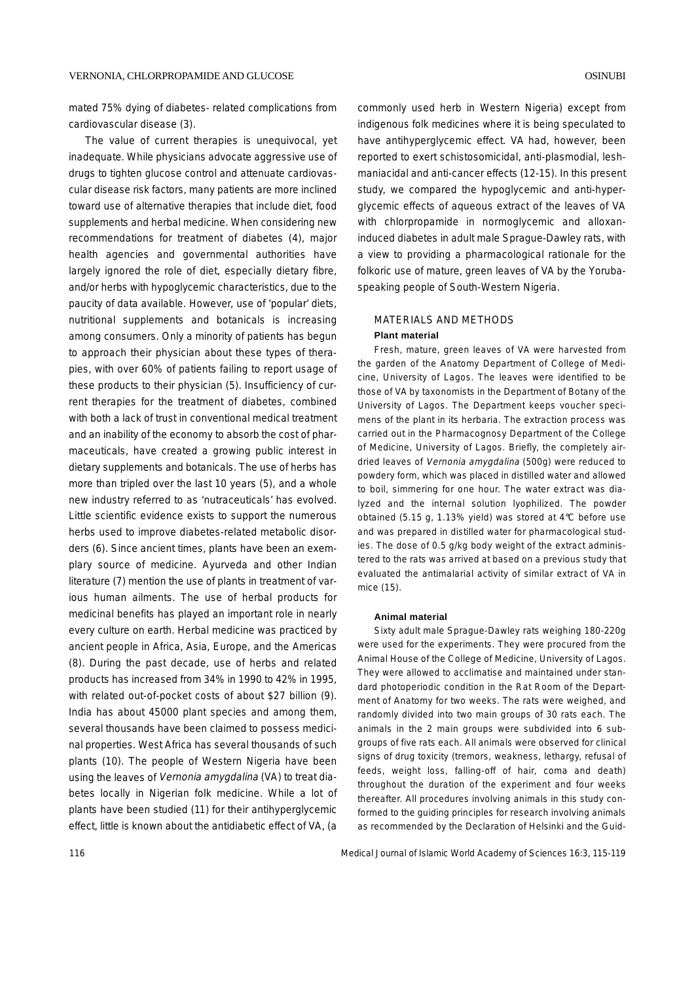mated 75% dying of diabetes- related complications from cardiovascular disease (3).

The value of current therapies is unequivocal, yet inadequate. While physicians advocate aggressive use of drugs to tighten glucose control and attenuate cardiovascular disease risk factors, many patients are more inclined toward use of alternative therapies that include diet, food supplements and herbal medicine. When considering new recommendations for treatment of diabetes (4), major health agencies and governmental authorities have largely ignored the role of diet, especially dietary fibre, and/or herbs with hypoglycemic characteristics, due to the paucity of data available. However, use of 'popular' diets, nutritional supplements and botanicals is increasing among consumers. Only a minority of patients has begun to approach their physician about these types of therapies, with over 60% of patients failing to report usage of these products to their physician (5). Insufficiency of current therapies for the treatment of diabetes, combined with both a lack of trust in conventional medical treatment and an inability of the economy to absorb the cost of pharmaceuticals, have created a growing public interest in dietary supplements and botanicals. The use of herbs has more than tripled over the last 10 years (5), and a whole new industry referred to as 'nutraceuticals' has evolved. Little scientific evidence exists to support the numerous herbs used to improve diabetes-related metabolic disorders (6). Since ancient times, plants have been an exemplary source of medicine. Ayurveda and other Indian literature (7) mention the use of plants in treatment of various human ailments. The use of herbal products for medicinal benefits has played an important role in nearly every culture on earth. Herbal medicine was practiced by ancient people in Africa, Asia, Europe, and the Americas (8). During the past decade, use of herbs and related products has increased from 34% in 1990 to 42% in 1995, with related out-of-pocket costs of about \$27 billion (9). India has about 45000 plant species and among them, several thousands have been claimed to possess medicinal properties. West Africa has several thousands of such plants (10). The people of Western Nigeria have been using the leaves of Vernonia amygdalina (VA) to treat diabetes locally in Nigerian folk medicine. While a lot of plants have been studied (11) for their antihyperglycemic effect, little is known about the antidiabetic effect of VA, (a

commonly used herb in Western Nigeria) except from indigenous folk medicines where it is being speculated to have antihyperglycemic effect. VA had, however, been reported to exert schistosomicidal, anti-plasmodial, leshmaniacidal and anti-cancer effects (12-15). In this present study, we compared the hypoglycemic and anti-hyperglycemic effects of aqueous extract of the leaves of VA with chlorpropamide in normoglycemic and alloxaninduced diabetes in adult male Sprague-Dawley rats, with a view to providing a pharmacological rationale for the folkoric use of mature, green leaves of VA by the Yorubaspeaking people of South-Western Nigeria.

# MATERIALS AND METHODS **Plant material**

Fresh, mature, green leaves of VA were harvested from the garden of the Anatomy Department of College of Medicine, University of Lagos. The leaves were identified to be those of VA by taxonomists in the Department of Botany of the University of Lagos. The Department keeps voucher specimens of the plant in its herbaria. The extraction process was carried out in the Pharmacognosy Department of the College of Medicine, University of Lagos. Briefly, the completely airdried leaves of Vernonia amygdalina (500g) were reduced to powdery form, which was placed in distilled water and allowed to boil, simmering for one hour. The water extract was dialyzed and the internal solution lyophilized. The powder obtained (5.15 g, 1.13% yield) was stored at 4°C before use and was prepared in distilled water for pharmacological studies. The dose of 0.5 g/kg body weight of the extract administered to the rats was arrived at based on a previous study that evaluated the antimalarial activity of similar extract of VA in mice (15).

#### **Animal material**

Sixty adult male Sprague-Dawley rats weighing 180-220g were used for the experiments. They were procured from the Animal House of the College of Medicine, University of Lagos. They were allowed to acclimatise and maintained under standard photoperiodic condition in the Rat Room of the Department of Anatomy for two weeks. The rats were weighed, and randomly divided into two main groups of 30 rats each. The animals in the 2 main groups were subdivided into 6 subgroups of five rats each. All animals were observed for clinical signs of drug toxicity (tremors, weakness, lethargy, refusal of feeds, weight loss, falling-off of hair, coma and death) throughout the duration of the experiment and four weeks thereafter. All procedures involving animals in this study conformed to the guiding principles for research involving animals as recommended by the Declaration of Helsinki and the Guid-

116 Medical Journal of Islamic World Academy of Sciences 16:3, 115-119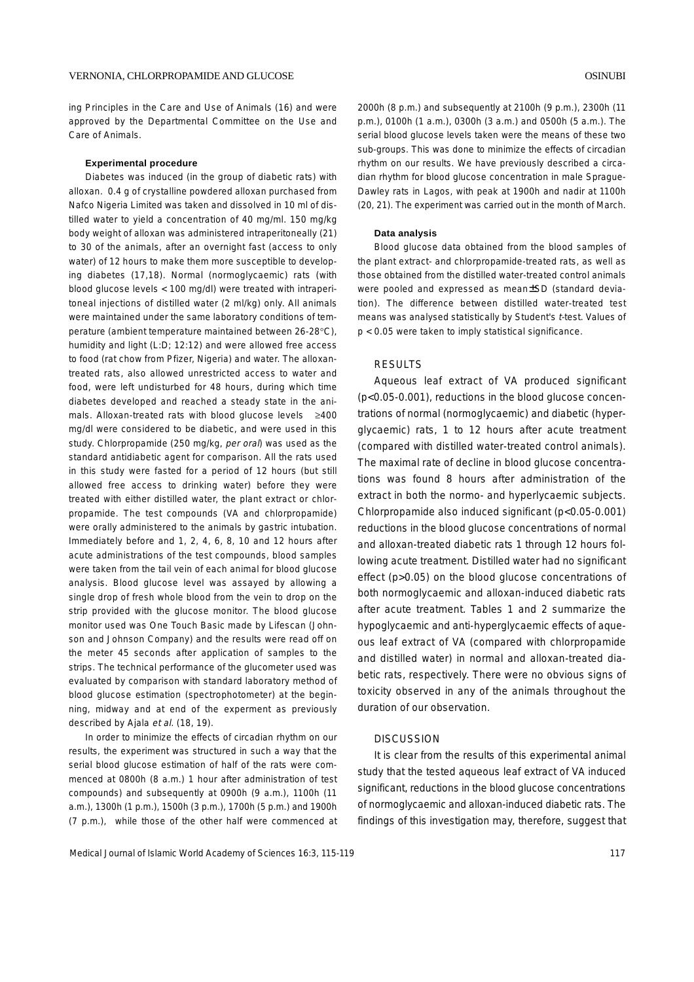ing Principles in the Care and Use of Animals (16) and were approved by the Departmental Committee on the Use and Care of Animals.

#### **Experimental procedure**

Diabetes was induced (in the group of diabetic rats) with alloxan. 0.4 g of crystalline powdered alloxan purchased from Nafco Nigeria Limited was taken and dissolved in 10 ml of distilled water to yield a concentration of 40 mg/ml. 150 mg/kg body weight of alloxan was administered intraperitoneally (21) to 30 of the animals, after an overnight fast (access to only water) of 12 hours to make them more susceptible to developing diabetes (17,18). Normal (normoglycaemic) rats (with blood glucose levels < 100 mg/dl) were treated with intraperitoneal injections of distilled water (2 ml/kg) only. All animals were maintained under the same laboratory conditions of temperature (ambient temperature maintained between 26-28°C), humidity and light (L:D; 12:12) and were allowed free access to food (rat chow from Pfizer, Nigeria) and water. The alloxantreated rats, also allowed unrestricted access to water and food, were left undisturbed for 48 hours, during which time diabetes developed and reached a steady state in the animals. Alloxan-treated rats with blood glucose levels ≥400 mg/dl were considered to be diabetic, and were used in this study. Chlorpropamide (250 mg/kg, per oral) was used as the standard antidiabetic agent for comparison. All the rats used in this study were fasted for a period of 12 hours (but still allowed free access to drinking water) before they were treated with either distilled water, the plant extract or chlorpropamide. The test compounds (VA and chlorpropamide) were orally administered to the animals by gastric intubation. Immediately before and 1, 2, 4, 6, 8, 10 and 12 hours after acute administrations of the test compounds, blood samples were taken from the tail vein of each animal for blood glucose analysis. Blood glucose level was assayed by allowing a single drop of fresh whole blood from the vein to drop on the strip provided with the glucose monitor. The blood glucose monitor used was One Touch Basic made by Lifescan (Johnson and Johnson Company) and the results were read off on the meter 45 seconds after application of samples to the strips. The technical performance of the glucometer used was evaluated by comparison with standard laboratory method of blood glucose estimation (spectrophotometer) at the beginning, midway and at end of the experment as previously described by Ajala et al. (18, 19).

In order to minimize the effects of circadian rhythm on our results, the experiment was structured in such a way that the serial blood glucose estimation of half of the rats were commenced at 0800h (8 a.m.) 1 hour after administration of test compounds) and subsequently at 0900h (9 a.m.), 1100h (11 a.m.), 1300h (1 p.m.), 1500h (3 p.m.), 1700h (5 p.m.) and 1900h (7 p.m.), while those of the other half were commenced at

2000h (8 p.m.) and subsequently at 2100h (9 p.m.), 2300h (11 p.m.), 0100h (1 a.m.), 0300h (3 a.m.) and 0500h (5 a.m.). The serial blood glucose levels taken were the means of these two sub-groups. This was done to minimize the effects of circadian rhythm on our results. We have previously described a circadian rhythm for blood glucose concentration in male Sprague-Dawley rats in Lagos, with peak at 1900h and nadir at 1100h (20, 21). The experiment was carried out in the month of March.

#### **Data analysis**

Blood glucose data obtained from the blood samples of the plant extract- and chlorpropamide-treated rats, as well as those obtained from the distilled water-treated control animals were pooled and expressed as mean±SD (standard deviation). The difference between distilled water-treated test means was analysed statistically by Student's t-test. Values of p < 0.05 were taken to imply statistical significance.

# RESULTS

Aqueous leaf extract of VA produced significant (p<0.05-0.001), reductions in the blood glucose concentrations of normal (normoglycaemic) and diabetic (hyperglycaemic) rats, 1 to 12 hours after acute treatment (compared with distilled water-treated control animals). The maximal rate of decline in blood glucose concentrations was found 8 hours after administration of the extract in both the normo- and hyperlycaemic subjects. Chlorpropamide also induced significant (p<0.05-0.001) reductions in the blood glucose concentrations of normal and alloxan-treated diabetic rats 1 through 12 hours following acute treatment. Distilled water had no significant effect (p>0.05) on the blood glucose concentrations of both normoglycaemic and alloxan-induced diabetic rats after acute treatment. Tables 1 and 2 summarize the hypoglycaemic and anti-hyperglycaemic effects of aqueous leaf extract of VA (compared with chlorpropamide and distilled water) in normal and alloxan-treated diabetic rats, respectively. There were no obvious signs of toxicity observed in any of the animals throughout the duration of our observation.

### **DISCUSSION**

It is clear from the results of this experimental animal study that the tested aqueous leaf extract of VA induced significant, reductions in the blood glucose concentrations of normoglycaemic and alloxan-induced diabetic rats. The findings of this investigation may, therefore, suggest that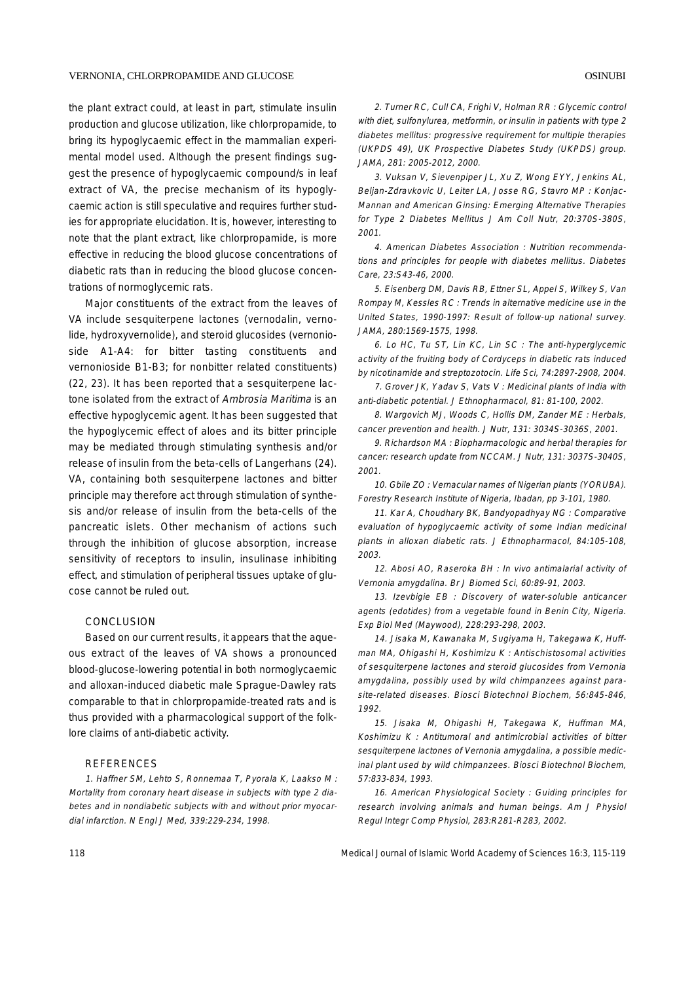the plant extract could, at least in part, stimulate insulin production and glucose utilization, like chlorpropamide, to bring its hypoglycaemic effect in the mammalian experimental model used. Although the present findings suggest the presence of hypoglycaemic compound/s in leaf extract of VA, the precise mechanism of its hypoglycaemic action is still speculative and requires further studies for appropriate elucidation. It is, however, interesting to note that the plant extract, like chlorpropamide, is more effective in reducing the blood glucose concentrations of diabetic rats than in reducing the blood glucose concentrations of normoglycemic rats.

Major constituents of the extract from the leaves of VA include sesquiterpene lactones (vernodalin, vernolide, hydroxyvernolide), and steroid glucosides (vernonioside A1-A4: for bitter tasting constituents and vernonioside B1-B3; for nonbitter related constituents) (22, 23). It has been reported that a sesquiterpene lactone isolated from the extract of Ambrosia Maritima is an effective hypoglycemic agent. It has been suggested that the hypoglycemic effect of aloes and its bitter principle may be mediated through stimulating synthesis and/or release of insulin from the beta-cells of Langerhans (24). VA, containing both sesquiterpene lactones and bitter principle may therefore act through stimulation of synthesis and/or release of insulin from the beta-cells of the pancreatic islets. Other mechanism of actions such through the inhibition of glucose absorption, increase sensitivity of receptors to insulin, insulinase inhibiting effect, and stimulation of peripheral tissues uptake of glucose cannot be ruled out.

### **CONCLUSION**

Based on our current results, it appears that the aqueous extract of the leaves of VA shows a pronounced blood-glucose-lowering potential in both normoglycaemic and alloxan-induced diabetic male Sprague-Dawley rats comparable to that in chlorpropamide-treated rats and is thus provided with a pharmacological support of the folklore claims of anti-diabetic activity.

# REFERENCES

1. Haffner SM, Lehto S, Ronnemaa T, Pyorala K, Laakso M : Mortality from coronary heart disease in subjects with type 2 diabetes and in nondiabetic subjects with and without prior myocardial infarction. N Engl J Med, 339:229-234, 1998.

2. Turner RC, Cull CA, Frighi V, Holman RR : Glycemic control with diet, sulfonylurea, metformin, or insulin in patients with type 2 diabetes mellitus: progressive requirement for multiple therapies (UKPDS 49), UK Prospective Diabetes Study (UKPDS) group. JAMA, 281: 2005-2012, 2000.

3. Vuksan V, Sievenpiper JL, Xu Z, Wong EYY, Jenkins AL, Beljan-Zdravkovic U, Leiter LA, Josse RG, Stavro MP : Konjac-Mannan and American Ginsing: Emerging Alternative Therapies for Type 2 Diabetes Mellitus J Am Coll Nutr, 20:370S-380S, 2001.

4. American Diabetes Association : Nutrition recommendations and principles for people with diabetes mellitus. Diabetes Care, 23:S43-46, 2000.

5. Eisenberg DM, Davis RB, Ettner SL, Appel S, Wilkey S, Van Rompay M, Kessles RC : Trends in alternative medicine use in the United States, 1990-1997: Result of follow-up national survey. JAMA, 280:1569-1575, 1998.

6. Lo HC, Tu ST, Lin KC, Lin SC : The anti-hyperglycemic activity of the fruiting body of Cordyceps in diabetic rats induced by nicotinamide and streptozotocin. Life Sci, 74:2897-2908, 2004.

7. Grover JK, Yadav S, Vats V : Medicinal plants of India with anti-diabetic potential. J Ethnopharmacol, 81: 81-100, 2002.

8. Wargovich MJ, Woods C, Hollis DM, Zander ME : Herbals, cancer prevention and health. J Nutr, 131: 3034S-3036S, 2001.

9. Richardson MA : Biopharmacologic and herbal therapies for cancer: research update from NCCAM. J Nutr, 131: 3037S-3040S, 2001.

10. Gbile ZO : Vernacular names of Nigerian plants (YORUBA). Forestry Research Institute of Nigeria, Ibadan, pp 3-101, 1980.

11. Kar A, Choudhary BK, Bandyopadhyay NG : Comparative evaluation of hypoglycaemic activity of some Indian medicinal plants in alloxan diabetic rats. J Ethnopharmacol, 84:105-108, 2003.

12. Abosi AO, Raseroka BH : In vivo antimalarial activity of Vernonia amygdalina. Br J Biomed Sci, 60:89-91, 2003.

13. Izevbigie EB : Discovery of water-soluble anticancer agents (edotides) from a vegetable found in Benin City, Nigeria. Exp Biol Med (Maywood), 228:293-298, 2003.

14. Jisaka M, Kawanaka M, Sugiyama H, Takegawa K, Huffman MA, Ohigashi H, Koshimizu K : Antischistosomal activities of sesquiterpene lactones and steroid glucosides from Vernonia amygdalina, possibly used by wild chimpanzees against parasite-related diseases. Biosci Biotechnol Biochem, 56:845-846, 1992.

15. Jisaka M, Ohigashi H, Takegawa K, Huffman MA, Koshimizu K : Antitumoral and antimicrobial activities of bitter sesquiterpene lactones of Vernonia amygdalina, a possible medicinal plant used by wild chimpanzees. Biosci Biotechnol Biochem, 57:833-834, 1993.

16. American Physiological Society : Guiding principles for research involving animals and human beings. Am J Physiol Regul Integr Comp Physiol, 283:R281-R283, 2002.

118 Medical Journal of Islamic World Academy of Sciences 16:3, 115-119